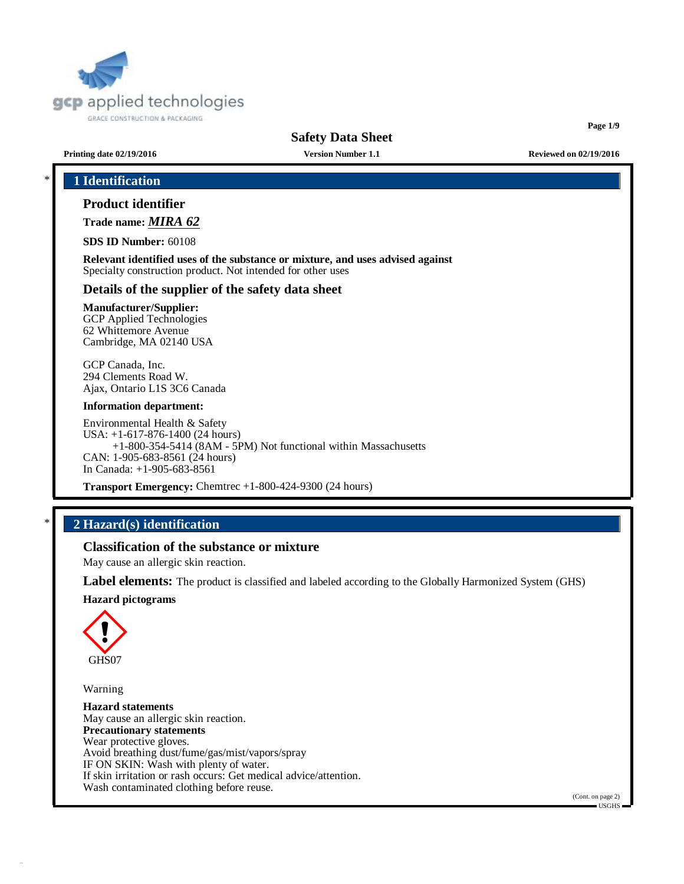

**Page 1/9**

**Printing date 02/19/2016 Version Number 1.1 Reviewed on 02/19/2016**

# \* **1 Identification**

# **Product identifier**

**Trade name:** *MIRA 62*

**SDS ID Number:** 60108

**Relevant identified uses of the substance or mixture, and uses advised against** Specialty construction product. Not intended for other uses

#### **Details of the supplier of the safety data sheet**

### **Manufacturer/Supplier:**

GCP Applied Technologies 62 Whittemore Avenue Cambridge, MA 02140 USA

GCP Canada, Inc. 294 Clements Road W. Ajax, Ontario L1S 3C6 Canada

#### **Information department:**

Environmental Health & Safety USA: +1-617-876-1400 (24 hours) +1-800-354-5414 (8AM - 5PM) Not functional within Massachusetts CAN: 1-905-683-8561 (24 hours) In Canada: +1-905-683-8561

**Transport Emergency:** Chemtrec +1-800-424-9300 (24 hours)

# \* **2 Hazard(s) identification**

# **Classification of the substance or mixture**

May cause an allergic skin reaction.

**Label elements:** The product is classified and labeled according to the Globally Harmonized System (GHS)

#### **Hazard pictograms**



Warning

**Hazard statements** May cause an allergic skin reaction. **Precautionary statements** Wear protective gloves. Avoid breathing dust/fume/gas/mist/vapors/spray IF ON SKIN: Wash with plenty of water. If skin irritation or rash occurs: Get medical advice/attention. Wash contaminated clothing before reuse.

(Cont. on page 2)  $=$  USGHS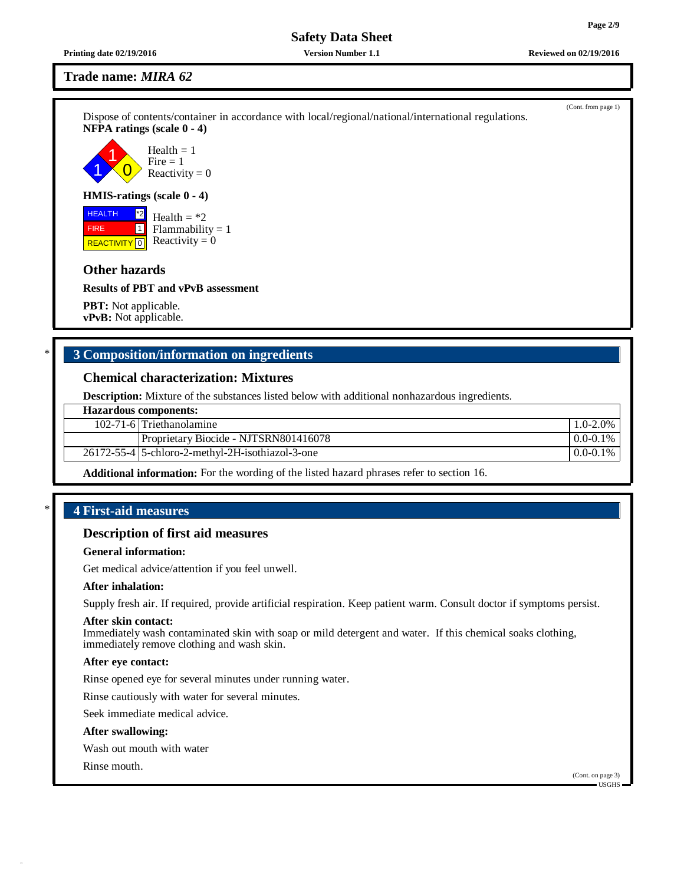**Printing date 02/19/2016 Version Number 1.1 Reviewed on 02/19/2016**

# **Trade name:** *MIRA 62*

Dispose of contents/container in accordance with local/regional/national/international regulations. **NFPA ratings (scale 0 - 4)**

1 1  $\overline{0}$ Health  $= 1$  $Fire = 1$ Reactivity  $= 0$ 

#### **HMIS-ratings (scale 0 - 4)**

 HEALTH FIRE **REACTIVITY** 0  $|2^*2|$ 1 Health  $=$  \*2  $Flammability = 1$ Reactivity  $= 0$ 

# **Other hazards**

**Results of PBT and vPvB assessment**

**PBT:** Not applicable. **vPvB:** Not applicable.

# \* **3 Composition/information on ingredients**

# **Chemical characterization: Mixtures**

**Description:** Mixture of the substances listed below with additional nonhazardous ingredients.

| <b>Hazardous components:</b> |                                                  |               |  |
|------------------------------|--------------------------------------------------|---------------|--|
|                              | 102-71-6 Triethanolamine                         | $1.0 - 2.0\%$ |  |
|                              | Proprietary Biocide - NJTSRN801416078            | $0.0 - 0.1\%$ |  |
|                              | 26172-55-4 5-chloro-2-methyl-2H-isothiazol-3-one | $0.0 - 0.1\%$ |  |
|                              |                                                  |               |  |

**Additional information:** For the wording of the listed hazard phrases refer to section 16.

# \* **4 First-aid measures**

# **Description of first aid measures**

## **General information:**

Get medical advice/attention if you feel unwell.

## **After inhalation:**

Supply fresh air. If required, provide artificial respiration. Keep patient warm. Consult doctor if symptoms persist.

#### **After skin contact:**

Immediately wash contaminated skin with soap or mild detergent and water. If this chemical soaks clothing, immediately remove clothing and wash skin.

## **After eye contact:**

Rinse opened eye for several minutes under running water.

Rinse cautiously with water for several minutes.

Seek immediate medical advice.

#### **After swallowing:**

Wash out mouth with water

Rinse mouth.

# (Cont. from page 1)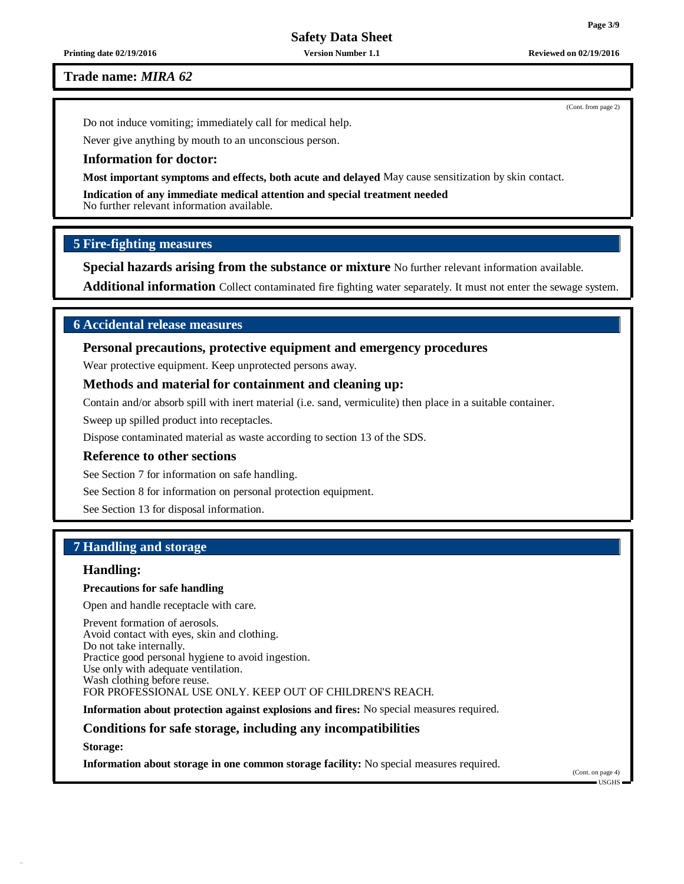**Printing date 02/19/2016 Version Number 1.1 Reviewed on 02/19/2016**

**Trade name:** *MIRA 62*

Do not induce vomiting; immediately call for medical help.

Never give anything by mouth to an unconscious person.

#### **Information for doctor:**

**Most important symptoms and effects, both acute and delayed** May cause sensitization by skin contact.

**Indication of any immediate medical attention and special treatment needed** No further relevant information available.

#### **5 Fire-fighting measures**

**Special hazards arising from the substance or mixture** No further relevant information available.

**Additional information** Collect contaminated fire fighting water separately. It must not enter the sewage system.

# **6 Accidental release measures**

## **Personal precautions, protective equipment and emergency procedures**

Wear protective equipment. Keep unprotected persons away.

## **Methods and material for containment and cleaning up:**

Contain and/or absorb spill with inert material (i.e. sand, vermiculite) then place in a suitable container.

Sweep up spilled product into receptacles.

Dispose contaminated material as waste according to section 13 of the SDS.

#### **Reference to other sections**

See Section 7 for information on safe handling.

See Section 8 for information on personal protection equipment.

See Section 13 for disposal information.

# **7 Handling and storage**

# **Handling:**

#### **Precautions for safe handling**

Open and handle receptacle with care.

Prevent formation of aerosols. Avoid contact with eyes, skin and clothing. Do not take internally. Practice good personal hygiene to avoid ingestion. Use only with adequate ventilation. Wash clothing before reuse. FOR PROFESSIONAL USE ONLY. KEEP OUT OF CHILDREN'S REACH.

**Information about protection against explosions and fires:** No special measures required.

#### **Conditions for safe storage, including any incompatibilities**

**Storage:**

**Information about storage in one common storage facility:** No special measures required.

(Cont. on page 4) USGHS

(Cont. from page 2)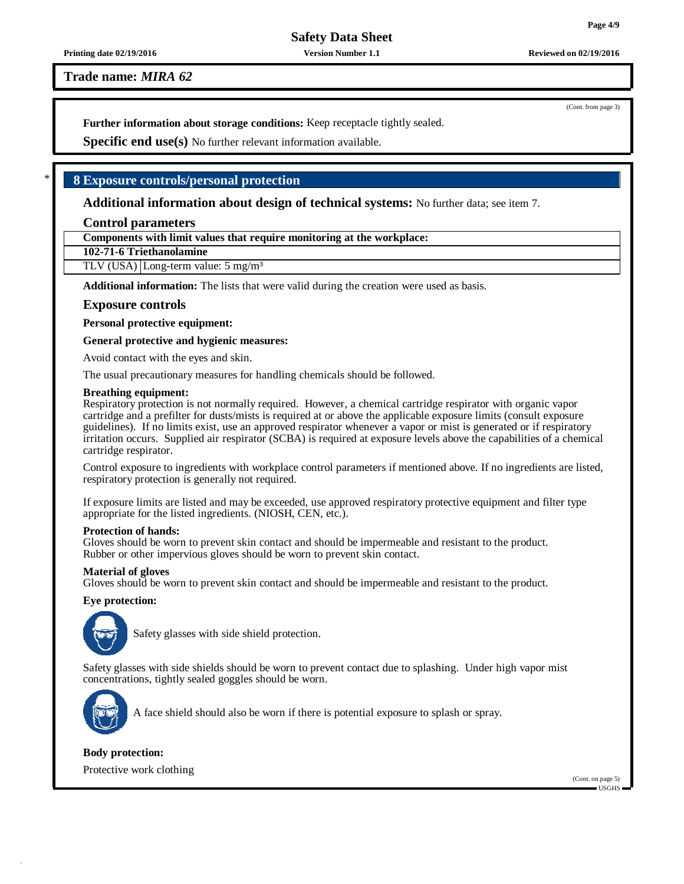#### **Printing date 02/19/2016 Version Number 1.1 Reviewed on 02/19/2016**

**Trade name:** *MIRA 62*

**Further information about storage conditions:** Keep receptacle tightly sealed.

**Specific end use(s)** No further relevant information available.

# \* **8 Exposure controls/personal protection**

**Additional information about design of technical systems:** No further data; see item 7.

## **Control parameters**

**Components with limit values that require monitoring at the workplace:**

**102-71-6 Triethanolamine**

TLV (USA) Long-term value: 5 mg/m<sup>3</sup>

**Additional information:** The lists that were valid during the creation were used as basis.

## **Exposure controls**

**Personal protective equipment:**

**General protective and hygienic measures:**

Avoid contact with the eyes and skin.

The usual precautionary measures for handling chemicals should be followed.

#### **Breathing equipment:**

Respiratory protection is not normally required. However, a chemical cartridge respirator with organic vapor cartridge and a prefilter for dusts/mists is required at or above the applicable exposure limits (consult exposure guidelines). If no limits exist, use an approved respirator whenever a vapor or mist is generated or if respiratory irritation occurs. Supplied air respirator (SCBA) is required at exposure levels above the capabilities of a chemical cartridge respirator.

Control exposure to ingredients with workplace control parameters if mentioned above. If no ingredients are listed, respiratory protection is generally not required.

If exposure limits are listed and may be exceeded, use approved respiratory protective equipment and filter type appropriate for the listed ingredients. (NIOSH, CEN, etc.).

#### **Protection of hands:**

Gloves should be worn to prevent skin contact and should be impermeable and resistant to the product. Rubber or other impervious gloves should be worn to prevent skin contact.

#### **Material of gloves**

Gloves should be worn to prevent skin contact and should be impermeable and resistant to the product.

#### **Eye protection:**



Safety glasses with side shield protection.

Safety glasses with side shields should be worn to prevent contact due to splashing. Under high vapor mist concentrations, tightly sealed goggles should be worn.



A face shield should also be worn if there is potential exposure to splash or spray.

#### **Body protection:**

Protective work clothing

(Cont. on page 5) USGHS

(Cont. from page 3)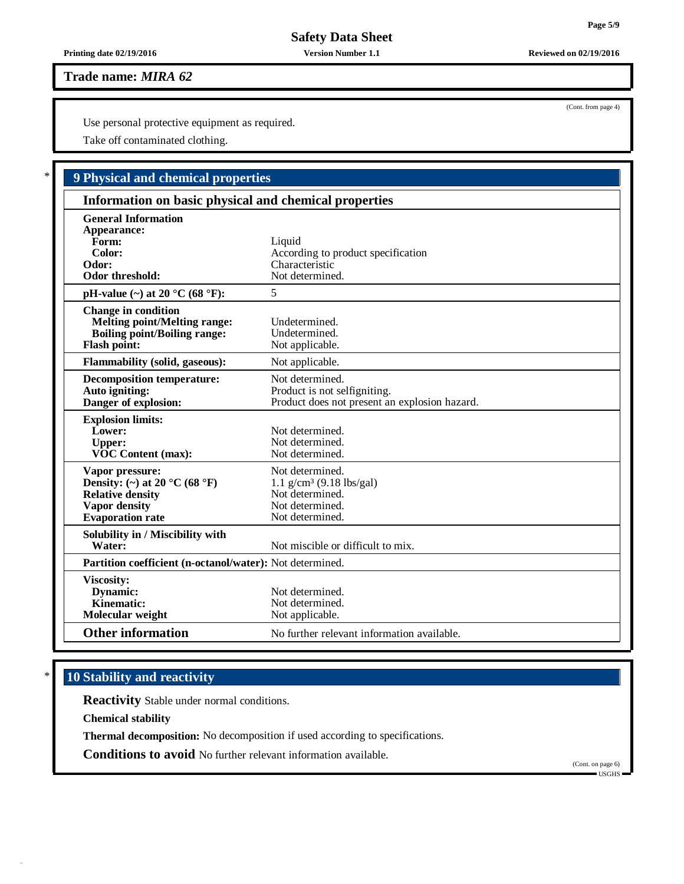# **Trade name:** *MIRA 62*

Use personal protective equipment as required.

Take off contaminated clothing.

| <b>9 Physical and chemical properties</b>                                                                                       |                                                                                                         |  |  |  |
|---------------------------------------------------------------------------------------------------------------------------------|---------------------------------------------------------------------------------------------------------|--|--|--|
| Information on basic physical and chemical properties                                                                           |                                                                                                         |  |  |  |
| <b>General Information</b><br>Appearance:<br>Form:<br>Color:<br>Odor:<br>Odor threshold:                                        | Liquid<br>According to product specification<br>Characteristic<br>Not determined.                       |  |  |  |
| pH-value $(\sim)$ at 20 °C (68 °F):                                                                                             | 5                                                                                                       |  |  |  |
| <b>Change in condition</b><br><b>Melting point/Melting range:</b><br><b>Boiling point/Boiling range:</b><br><b>Flash point:</b> | Undetermined.<br>Undetermined.<br>Not applicable.                                                       |  |  |  |
| <b>Flammability (solid, gaseous):</b>                                                                                           | Not applicable.                                                                                         |  |  |  |
| <b>Decomposition temperature:</b><br>Auto igniting:<br>Danger of explosion:                                                     | Not determined.<br>Product is not selfigniting.<br>Product does not present an explosion hazard.        |  |  |  |
| <b>Explosion limits:</b><br>Lower:<br><b>Upper:</b><br><b>VOC Content (max):</b>                                                | Not determined.<br>Not determined.<br>Not determined.                                                   |  |  |  |
| Vapor pressure:<br>Density: (~) at 20 °C (68 °F)<br><b>Relative density</b><br><b>Vapor density</b><br><b>Evaporation rate</b>  | Not determined.<br>1.1 $g/cm^3$ (9.18 lbs/gal)<br>Not determined.<br>Not determined.<br>Not determined. |  |  |  |
| Solubility in / Miscibility with<br>Water:                                                                                      | Not miscible or difficult to mix.                                                                       |  |  |  |
| Partition coefficient (n-octanol/water): Not determined.                                                                        |                                                                                                         |  |  |  |
| <b>Viscosity:</b><br>Dynamic:<br>Kinematic:<br>Molecular weight                                                                 | Not determined.<br>Not determined.<br>Not applicable.                                                   |  |  |  |
| <b>Other information</b>                                                                                                        | No further relevant information available.                                                              |  |  |  |

# \* **10 Stability and reactivity**

**Reactivity** Stable under normal conditions.

**Chemical stability**

**Thermal decomposition:** No decomposition if used according to specifications.

**Conditions to avoid** No further relevant information available.

(Cont. on page 6) USGHS

(Cont. from page 4)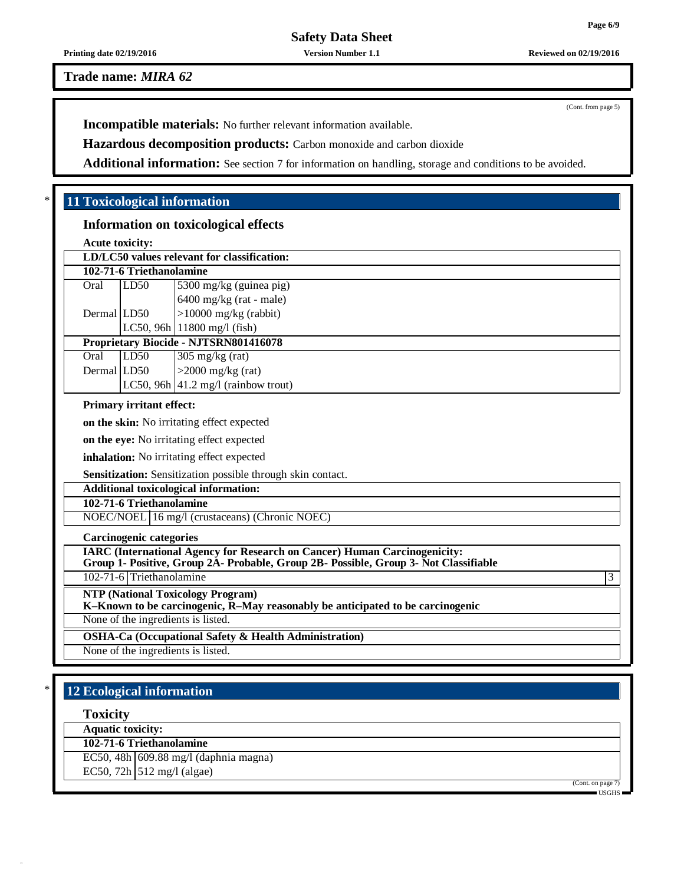**Trade name:** *MIRA 62*

**Incompatible materials:** No further relevant information available.

**Hazardous decomposition products:** Carbon monoxide and carbon dioxide

**Additional information:** See section 7 for information on handling, storage and conditions to be avoided.

# \* **11 Toxicological information**

# **Information on toxicological effects**

**Acute toxicity:**

| LD/LC50 values relevant for classification: |      |                                                |  |  |  |  |
|---------------------------------------------|------|------------------------------------------------|--|--|--|--|
| 102-71-6 Triethanolamine                    |      |                                                |  |  |  |  |
| Oral                                        | LD50 | 5300 mg/kg (guinea pig)                        |  |  |  |  |
|                                             |      | $6400$ mg/kg (rat - male)                      |  |  |  |  |
| Dermal LD50                                 |      | $>10000$ mg/kg (rabbit)                        |  |  |  |  |
|                                             |      | LC50, 96h $ 11800 \text{ mg}/1 \text{ (fish)}$ |  |  |  |  |
| Proprietary Biocide - NJTSRN801416078       |      |                                                |  |  |  |  |
| Oral                                        | LD50 | $305 \text{ mg/kg}$ (rat)                      |  |  |  |  |
| Dermal LD50                                 |      | $>2000$ mg/kg (rat)                            |  |  |  |  |
|                                             |      | LC50, 96h $ 41.2 \text{ mg/l}$ (rainbow trout) |  |  |  |  |

### **Primary irritant effect:**

**on the skin:** No irritating effect expected

**on the eye:** No irritating effect expected

**inhalation:** No irritating effect expected

**Sensitization:** Sensitization possible through skin contact.

# **Additional toxicological information:**

**102-71-6 Triethanolamine**

NOEC/NOEL 16 mg/l (crustaceans) (Chronic NOEC)

**Carcinogenic categories**

**IARC (International Agency for Research on Cancer) Human Carcinogenicity:**

**Group 1- Positive, Group 2A- Probable, Group 2B- Possible, Group 3- Not Classifiable**

102-71-6 Triethanolamine 3

**NTP (National Toxicology Program)**

**K–Known to be carcinogenic, R–May reasonably be anticipated to be carcinogenic**

None of the ingredients is listed.

**OSHA-Ca (Occupational Safety & Health Administration)**

None of the ingredients is listed.

# \* **12 Ecological information**

**Toxicity**

**Aquatic toxicity:**

**102-71-6 Triethanolamine**

EC50, 48h  $\vert$  609.88 mg/l (daphnia magna)

EC50,  $72h$  512 mg/l (algae)

(Cont. on page)

USGHS

(Cont. from page 5)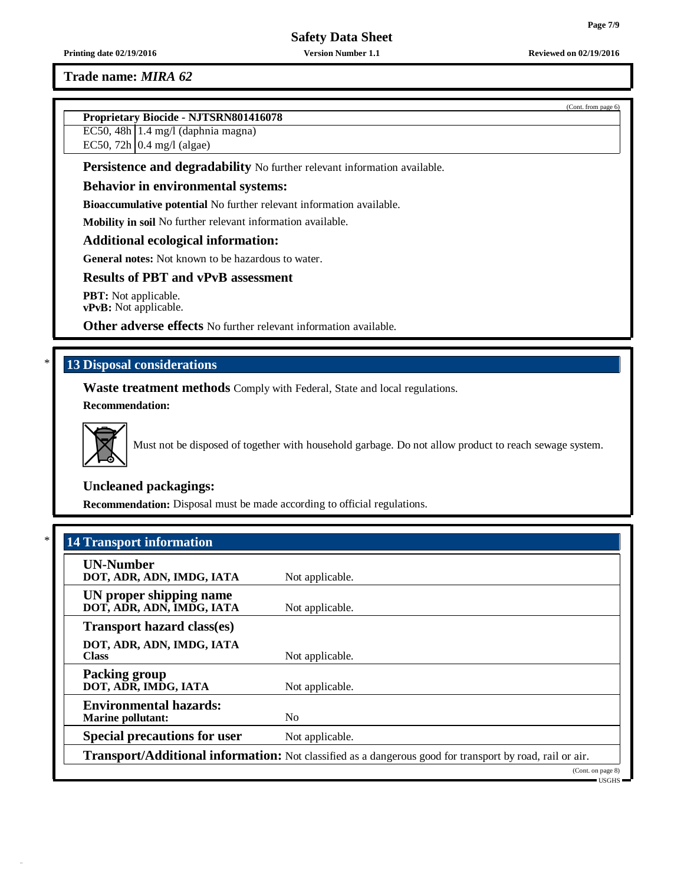# **Trade name:** *MIRA 62*

# **Proprietary Biocide - NJTSRN801416078**

EC50, 48h 1.4 mg/l (daphnia magna)

EC50, 72h  $\vert$  0.4 mg/l (algae)

**Persistence and degradability** No further relevant information available.

#### **Behavior in environmental systems:**

**Bioaccumulative potential** No further relevant information available.

**Mobility in soil** No further relevant information available.

## **Additional ecological information:**

**General notes:** Not known to be hazardous to water.

# **Results of PBT and vPvB assessment**

**PBT:** Not applicable. **vPvB:** Not applicable.

**Other adverse effects** No further relevant information available.

# \* **13 Disposal considerations**

**Waste treatment methods** Comply with Federal, State and local regulations.

# **Recommendation:**



Must not be disposed of together with household garbage. Do not allow product to reach sewage system.

# **Uncleaned packagings:**

**Recommendation:** Disposal must be made according to official regulations.

| <b>UN-Number</b>                                          |                 |
|-----------------------------------------------------------|-----------------|
| DOT, ADR, ADN, IMDG, IATA                                 | Not applicable. |
| UN proper shipping name<br>DOT, ADR, ADN, IMDG, IATA      | Not applicable. |
| <b>Transport hazard class(es)</b>                         |                 |
| DOT, ADR, ADN, IMDG, IATA<br><b>Class</b>                 | Not applicable. |
| <b>Packing group</b><br>DOT, ADR, IMDG, IATA              | Not applicable. |
| <b>Environmental hazards:</b><br><b>Marine pollutant:</b> | N <sub>0</sub>  |
| <b>Special precautions for user</b>                       | Not applicable. |

(Cont. from page 6)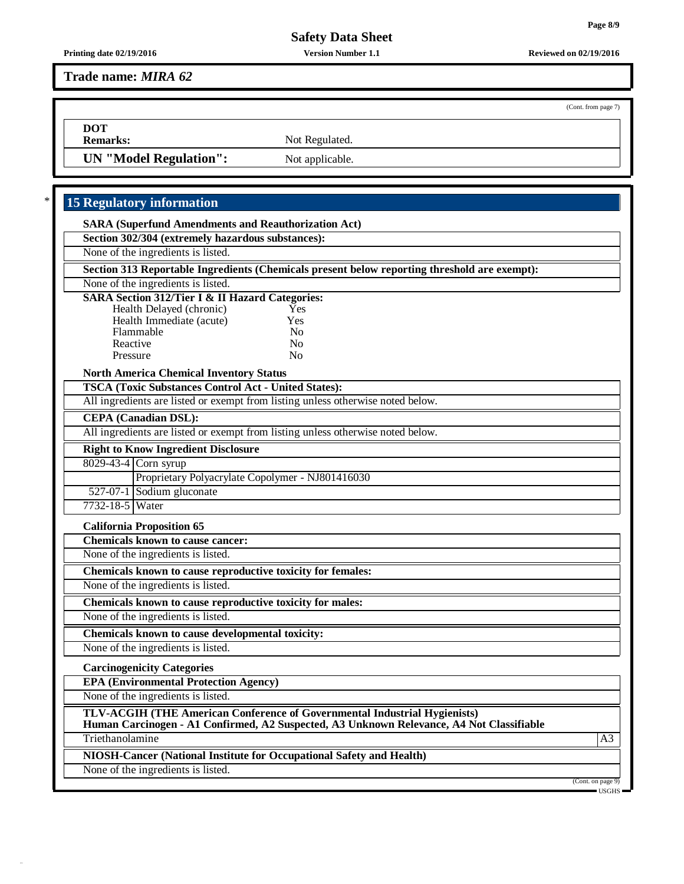**Printing date 02/19/2016 Version Number 1.1 Reviewed on 02/19/2016**

**Trade name:** *MIRA 62*

**DOT**

**Remarks:** Not Regulated.

**UN** "Model **Regulation":** Not applicable.

# \* **15 Regulatory information**

| <b>SARA (Superfund Amendments and Reauthorization Act)</b> |
|------------------------------------------------------------|
| Section 302/304 (extremely hazardous substances):          |

None of the ingredients is listed.

**Section 313 Reportable Ingredients (Chemicals present below reporting threshold are exempt):**

None of the ingredients is listed.

## **SARA Section 312/Tier I & II Hazard Categories:**

| Health Delayed (chronic) | Yes          |
|--------------------------|--------------|
| Health Immediate (acute) | Yes          |
| Flammable                | No           |
| Reactive                 | No           |
| Pressure                 | $N_{\Omega}$ |

#### **North America Chemical Inventory Status**

**TSCA (Toxic Substances Control Act - United States):**

All ingredients are listed or exempt from listing unless otherwise noted below.

## **CEPA (Canadian DSL):**

All ingredients are listed or exempt from listing unless otherwise noted below.

#### **Right to Know Ingredient Disclosure**

8029-43-4 Corn syrup

Proprietary Polyacrylate Copolymer - NJ801416030

527-07-1 Sodium gluconate

7732-18-5 Water

#### **California Proposition 65**

**Chemicals known to cause cancer:**

None of the ingredients is listed.

**Chemicals known to cause reproductive toxicity for females:**

None of the ingredients is listed.

**Chemicals known to cause reproductive toxicity for males:**

None of the ingredients is listed.

**Chemicals known to cause developmental toxicity:**

None of the ingredients is listed.

#### **Carcinogenicity Categories**

**EPA (Environmental Protection Agency)**

None of the ingredients is listed.

**TLV-ACGIH (THE American Conference of Governmental Industrial Hygienists)**

**Human Carcinogen - A1 Confirmed, A2 Suspected, A3 Unknown Relevance, A4 Not Classifiable**

Triethanolamine and the state of the state of the state of the state of the state of the state of the state of the state of the state of the state of the state of the state of the state of the state of the state of the sta

**NIOSH-Cancer (National Institute for Occupational Safety and Health)**

None of the ingredients is listed.

(Cont. on page 9) USGHS

(Cont. from page 7)